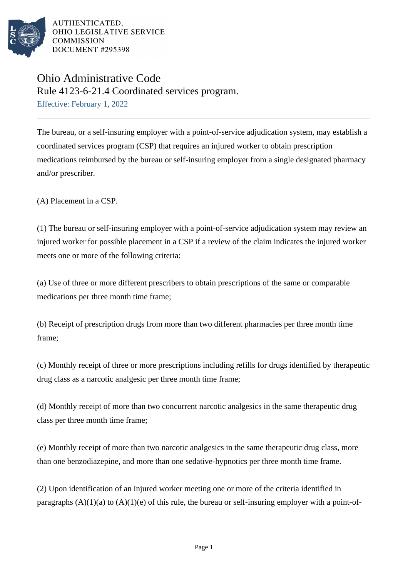

## Ohio Administrative Code Rule 4123-6-21.4 Coordinated services program. Effective: February 1, 2022

The bureau, or a self-insuring employer with a point-of-service adjudication system, may establish a coordinated services program (CSP) that requires an injured worker to obtain prescription medications reimbursed by the bureau or self-insuring employer from a single designated pharmacy and/or prescriber.

(A) Placement in a CSP.

(1) The bureau or self-insuring employer with a point-of-service adjudication system may review an injured worker for possible placement in a CSP if a review of the claim indicates the injured worker meets one or more of the following criteria:

(a) Use of three or more different prescribers to obtain prescriptions of the same or comparable medications per three month time frame;

(b) Receipt of prescription drugs from more than two different pharmacies per three month time frame;

(c) Monthly receipt of three or more prescriptions including refills for drugs identified by therapeutic drug class as a narcotic analgesic per three month time frame;

(d) Monthly receipt of more than two concurrent narcotic analgesics in the same therapeutic drug class per three month time frame;

(e) Monthly receipt of more than two narcotic analgesics in the same therapeutic drug class, more than one benzodiazepine, and more than one sedative-hypnotics per three month time frame.

(2) Upon identification of an injured worker meeting one or more of the criteria identified in paragraphs  $(A)(1)(a)$  to  $(A)(1)(e)$  of this rule, the bureau or self-insuring employer with a point-of-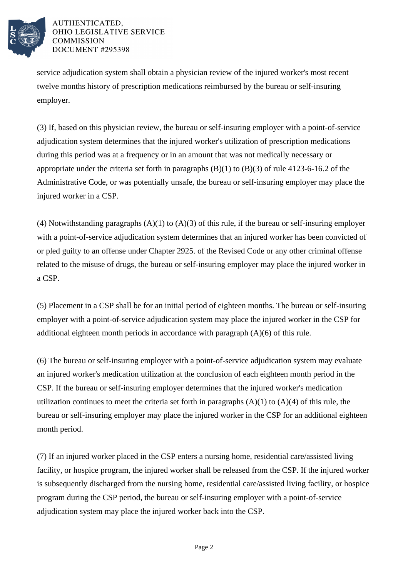

service adjudication system shall obtain a physician review of the injured worker's most recent twelve months history of prescription medications reimbursed by the bureau or self-insuring employer.

(3) If, based on this physician review, the bureau or self-insuring employer with a point-of-service adjudication system determines that the injured worker's utilization of prescription medications during this period was at a frequency or in an amount that was not medically necessary or appropriate under the criteria set forth in paragraphs  $(B)(1)$  to  $(B)(3)$  of rule 4123-6-16.2 of the Administrative Code, or was potentially unsafe, the bureau or self-insuring employer may place the injured worker in a CSP.

(4) Notwithstanding paragraphs  $(A)(1)$  to  $(A)(3)$  of this rule, if the bureau or self-insuring employer with a point-of-service adjudication system determines that an injured worker has been convicted of or pled guilty to an offense under Chapter 2925. of the Revised Code or any other criminal offense related to the misuse of drugs, the bureau or self-insuring employer may place the injured worker in a CSP.

(5) Placement in a CSP shall be for an initial period of eighteen months. The bureau or self-insuring employer with a point-of-service adjudication system may place the injured worker in the CSP for additional eighteen month periods in accordance with paragraph (A)(6) of this rule.

(6) The bureau or self-insuring employer with a point-of-service adjudication system may evaluate an injured worker's medication utilization at the conclusion of each eighteen month period in the CSP. If the bureau or self-insuring employer determines that the injured worker's medication utilization continues to meet the criteria set forth in paragraphs  $(A)(1)$  to  $(A)(4)$  of this rule, the bureau or self-insuring employer may place the injured worker in the CSP for an additional eighteen month period.

(7) If an injured worker placed in the CSP enters a nursing home, residential care/assisted living facility, or hospice program, the injured worker shall be released from the CSP. If the injured worker is subsequently discharged from the nursing home, residential care/assisted living facility, or hospice program during the CSP period, the bureau or self-insuring employer with a point-of-service adjudication system may place the injured worker back into the CSP.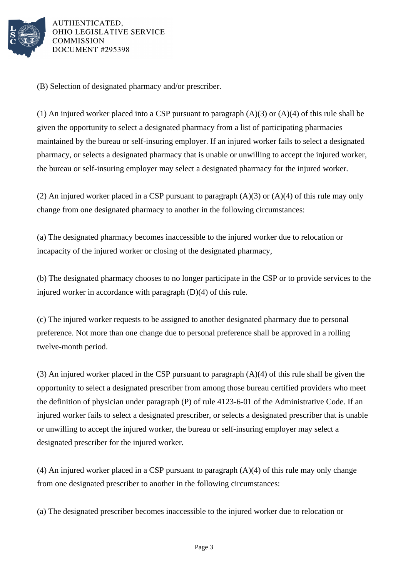

(B) Selection of designated pharmacy and/or prescriber.

(1) An injured worker placed into a CSP pursuant to paragraph (A)(3) or (A)(4) of this rule shall be given the opportunity to select a designated pharmacy from a list of participating pharmacies maintained by the bureau or self-insuring employer. If an injured worker fails to select a designated pharmacy, or selects a designated pharmacy that is unable or unwilling to accept the injured worker, the bureau or self-insuring employer may select a designated pharmacy for the injured worker.

(2) An injured worker placed in a CSP pursuant to paragraph (A)(3) or (A)(4) of this rule may only change from one designated pharmacy to another in the following circumstances:

(a) The designated pharmacy becomes inaccessible to the injured worker due to relocation or incapacity of the injured worker or closing of the designated pharmacy,

(b) The designated pharmacy chooses to no longer participate in the CSP or to provide services to the injured worker in accordance with paragraph (D)(4) of this rule.

(c) The injured worker requests to be assigned to another designated pharmacy due to personal preference. Not more than one change due to personal preference shall be approved in a rolling twelve-month period.

(3) An injured worker placed in the CSP pursuant to paragraph (A)(4) of this rule shall be given the opportunity to select a designated prescriber from among those bureau certified providers who meet the definition of physician under paragraph (P) of rule 4123-6-01 of the Administrative Code. If an injured worker fails to select a designated prescriber, or selects a designated prescriber that is unable or unwilling to accept the injured worker, the bureau or self-insuring employer may select a designated prescriber for the injured worker.

(4) An injured worker placed in a CSP pursuant to paragraph (A)(4) of this rule may only change from one designated prescriber to another in the following circumstances:

(a) The designated prescriber becomes inaccessible to the injured worker due to relocation or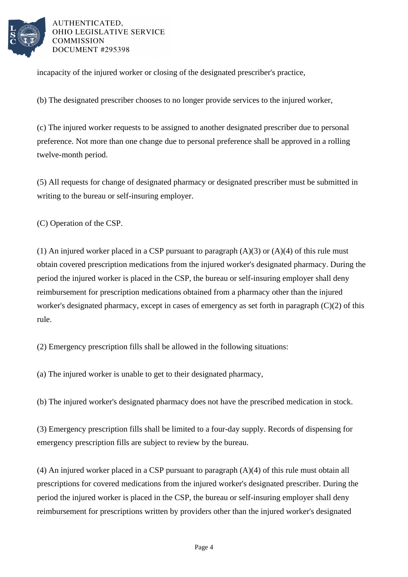

incapacity of the injured worker or closing of the designated prescriber's practice,

(b) The designated prescriber chooses to no longer provide services to the injured worker,

(c) The injured worker requests to be assigned to another designated prescriber due to personal preference. Not more than one change due to personal preference shall be approved in a rolling twelve-month period.

(5) All requests for change of designated pharmacy or designated prescriber must be submitted in writing to the bureau or self-insuring employer.

(C) Operation of the CSP.

(1) An injured worker placed in a CSP pursuant to paragraph  $(A)(3)$  or  $(A)(4)$  of this rule must obtain covered prescription medications from the injured worker's designated pharmacy. During the period the injured worker is placed in the CSP, the bureau or self-insuring employer shall deny reimbursement for prescription medications obtained from a pharmacy other than the injured worker's designated pharmacy, except in cases of emergency as set forth in paragraph (C)(2) of this rule.

(2) Emergency prescription fills shall be allowed in the following situations:

(a) The injured worker is unable to get to their designated pharmacy,

(b) The injured worker's designated pharmacy does not have the prescribed medication in stock.

(3) Emergency prescription fills shall be limited to a four-day supply. Records of dispensing for emergency prescription fills are subject to review by the bureau.

(4) An injured worker placed in a CSP pursuant to paragraph (A)(4) of this rule must obtain all prescriptions for covered medications from the injured worker's designated prescriber. During the period the injured worker is placed in the CSP, the bureau or self-insuring employer shall deny reimbursement for prescriptions written by providers other than the injured worker's designated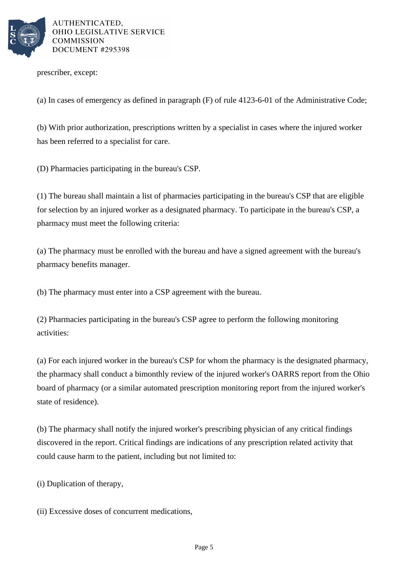

prescriber, except:

(a) In cases of emergency as defined in paragraph (F) of rule 4123-6-01 of the Administrative Code;

(b) With prior authorization, prescriptions written by a specialist in cases where the injured worker has been referred to a specialist for care.

(D) Pharmacies participating in the bureau's CSP.

(1) The bureau shall maintain a list of pharmacies participating in the bureau's CSP that are eligible for selection by an injured worker as a designated pharmacy. To participate in the bureau's CSP, a pharmacy must meet the following criteria:

(a) The pharmacy must be enrolled with the bureau and have a signed agreement with the bureau's pharmacy benefits manager.

(b) The pharmacy must enter into a CSP agreement with the bureau.

(2) Pharmacies participating in the bureau's CSP agree to perform the following monitoring activities:

(a) For each injured worker in the bureau's CSP for whom the pharmacy is the designated pharmacy, the pharmacy shall conduct a bimonthly review of the injured worker's OARRS report from the Ohio board of pharmacy (or a similar automated prescription monitoring report from the injured worker's state of residence).

(b) The pharmacy shall notify the injured worker's prescribing physician of any critical findings discovered in the report. Critical findings are indications of any prescription related activity that could cause harm to the patient, including but not limited to:

(i) Duplication of therapy,

(ii) Excessive doses of concurrent medications,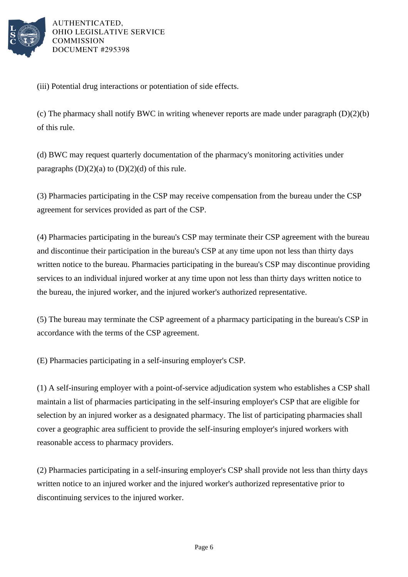

(iii) Potential drug interactions or potentiation of side effects.

(c) The pharmacy shall notify BWC in writing whenever reports are made under paragraph (D)(2)(b) of this rule.

(d) BWC may request quarterly documentation of the pharmacy's monitoring activities under paragraphs  $(D)(2)(a)$  to  $(D)(2)(d)$  of this rule.

(3) Pharmacies participating in the CSP may receive compensation from the bureau under the CSP agreement for services provided as part of the CSP.

(4) Pharmacies participating in the bureau's CSP may terminate their CSP agreement with the bureau and discontinue their participation in the bureau's CSP at any time upon not less than thirty days written notice to the bureau. Pharmacies participating in the bureau's CSP may discontinue providing services to an individual injured worker at any time upon not less than thirty days written notice to the bureau, the injured worker, and the injured worker's authorized representative.

(5) The bureau may terminate the CSP agreement of a pharmacy participating in the bureau's CSP in accordance with the terms of the CSP agreement.

(E) Pharmacies participating in a self-insuring employer's CSP.

(1) A self-insuring employer with a point-of-service adjudication system who establishes a CSP shall maintain a list of pharmacies participating in the self-insuring employer's CSP that are eligible for selection by an injured worker as a designated pharmacy. The list of participating pharmacies shall cover a geographic area sufficient to provide the self-insuring employer's injured workers with reasonable access to pharmacy providers.

(2) Pharmacies participating in a self-insuring employer's CSP shall provide not less than thirty days written notice to an injured worker and the injured worker's authorized representative prior to discontinuing services to the injured worker.